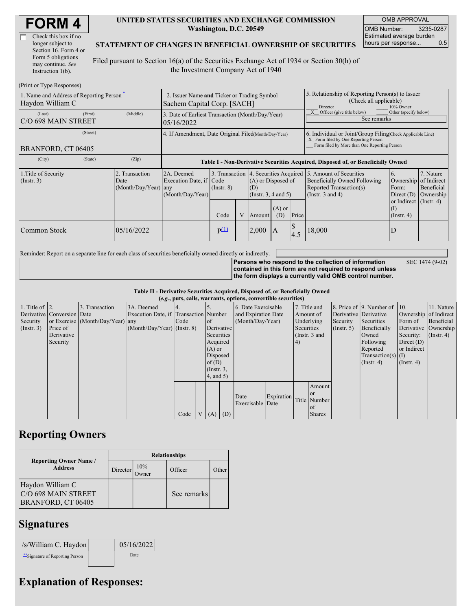| Check this box if no  |
|-----------------------|
| longer subject to     |
| Section 16. Form 4 or |
| Form 5 obligations    |
| may continue. See     |
| Instruction 1(b).     |

#### **UNITED STATES SECURITIES AND EXCHANGE COMMISSION Washington, D.C. 20549**

OMB APPROVAL OMB Number: 3235-0287 Estimated average burden hours per response... 0.5

### **STATEMENT OF CHANGES IN BENEFICIAL OWNERSHIP OF SECURITIES**

Filed pursuant to Section 16(a) of the Securities Exchange Act of 1934 or Section 30(h) of the Investment Company Act of 1940

| (Print or Type Responses)                                    |                                                                            |                                                      |                                                                                  |                 |  |                                                                                                |                                                                                                     |                                                                                                                                                    |                                                                                                             |                                                         |                                      |  |
|--------------------------------------------------------------|----------------------------------------------------------------------------|------------------------------------------------------|----------------------------------------------------------------------------------|-----------------|--|------------------------------------------------------------------------------------------------|-----------------------------------------------------------------------------------------------------|----------------------------------------------------------------------------------------------------------------------------------------------------|-------------------------------------------------------------------------------------------------------------|---------------------------------------------------------|--------------------------------------|--|
| 1. Name and Address of Reporting Person-<br>Haydon William C | 2. Issuer Name and Ticker or Trading Symbol<br>Sachem Capital Corp. [SACH] |                                                      |                                                                                  |                 |  |                                                                                                | 5. Relationship of Reporting Person(s) to Issuer<br>(Check all applicable)<br>Director<br>10% Owner |                                                                                                                                                    |                                                                                                             |                                                         |                                      |  |
| (Last)<br>IC/O 698 MAIN STREET                               | (First)                                                                    | (Middle)                                             | 3. Date of Earliest Transaction (Month/Day/Year)<br>05/16/2022                   |                 |  |                                                                                                |                                                                                                     |                                                                                                                                                    | Other (specify below)<br>Officer (give title below)<br>See remarks                                          |                                                         |                                      |  |
| BRANFORD, CT 06405                                           |                                                                            | 4. If Amendment, Date Original Filed(Month/Day/Year) |                                                                                  |                 |  |                                                                                                |                                                                                                     | 6. Individual or Joint/Group Filing(Check Applicable Line)<br>X Form filed by One Reporting Person<br>Form filed by More than One Reporting Person |                                                                                                             |                                                         |                                      |  |
| (City)                                                       | (State)                                                                    | (Zip)                                                | Table I - Non-Derivative Securities Acquired, Disposed of, or Beneficially Owned |                 |  |                                                                                                |                                                                                                     |                                                                                                                                                    |                                                                                                             |                                                         |                                      |  |
| 1. Title of Security<br>$($ Instr. 3 $)$                     |                                                                            | 2. Transaction<br>Date<br>$(Month/Day/Year)$ any     | 2A. Deemed<br>Execution Date, if Code<br>(Month/Day/Year)                        | $($ Instr. $8)$ |  | 3. Transaction 4. Securities Acquired<br>(A) or Disposed of<br>(D)<br>(Instr. $3, 4$ and $5$ ) |                                                                                                     |                                                                                                                                                    | 5. Amount of Securities<br>Beneficially Owned Following<br>Reported Transaction(s)<br>(Instr. $3$ and $4$ ) | 6.<br>Ownership of Indirect<br>Form:<br>Direct $(D)$    | 7. Nature<br>Beneficial<br>Ownership |  |
|                                                              |                                                                            |                                                      |                                                                                  | Code            |  | Amount                                                                                         | $(A)$ or<br>(D)                                                                                     | Price                                                                                                                                              |                                                                                                             | or Indirect $($ Instr. 4 $)$<br>(I)<br>$($ Instr. 4 $)$ |                                      |  |
| Common Stock                                                 |                                                                            | 05/16/2022                                           |                                                                                  | p(1)            |  | 2,000                                                                                          | $\mathbf{A}$                                                                                        | D<br>4.5                                                                                                                                           | 18,000                                                                                                      | D                                                       |                                      |  |

Reminder: Report on a separate line for each class of securities beneficially owned directly or indirectly.

SEC 1474 (9-02)

**Persons who respond to the collection of information contained in this form are not required to respond unless the form displays a currently valid OMB control number.**

**Table II - Derivative Securities Acquired, Disposed of, or Beneficially Owned (***e.g.***, puts, calls, warrants, options, convertible securities)**

| (e.g., puts, cans, warrants, options, convertible securities) |                            |                                  |                                       |      |                |                 |             |                     |            |            |                 |               |                              |                  |                       |
|---------------------------------------------------------------|----------------------------|----------------------------------|---------------------------------------|------|----------------|-----------------|-------------|---------------------|------------|------------|-----------------|---------------|------------------------------|------------------|-----------------------|
| 1. Title of $\vert$ 2.                                        |                            | 3. Transaction                   | 3A. Deemed                            |      |                |                 |             | 6. Date Exercisable |            |            | 7. Title and    |               | 8. Price of 9. Number of 10. |                  | 11. Nature            |
|                                                               | Derivative Conversion Date |                                  | Execution Date, if Transaction Number |      |                |                 |             | and Expiration Date |            | Amount of  |                 |               | Derivative Derivative        |                  | Ownership of Indirect |
| Security                                                      |                            | or Exercise (Month/Day/Year) any |                                       | Code |                | of              |             | (Month/Day/Year)    |            | Underlying |                 | Security      | Securities                   | Form of          | Beneficial            |
| (Insert. 3)                                                   | Price of                   |                                  | $(Month/Day/Year)$ (Instr. 8)         |      |                |                 | Derivative  |                     |            | Securities |                 | $($ Instr. 5) | Beneficially                 |                  | Derivative Ownership  |
|                                                               | Derivative                 |                                  |                                       |      |                | Securities      |             |                     |            |            | (Instr. $3$ and |               | Owned                        | Security:        | $($ Instr. 4 $)$      |
|                                                               | Security                   |                                  |                                       |      |                | Acquired        |             |                     |            | (4)        |                 |               | Following                    | Direct $(D)$     |                       |
|                                                               |                            |                                  |                                       |      |                | $(A)$ or        |             |                     |            |            |                 |               | Reported                     | or Indirect      |                       |
|                                                               |                            |                                  |                                       |      |                | Disposed        |             |                     |            |            |                 |               | Transaction(s) $(I)$         |                  |                       |
|                                                               |                            |                                  |                                       |      |                | of(D)           |             |                     |            |            |                 |               | $($ Instr. 4 $)$             | $($ Instr. 4 $)$ |                       |
|                                                               |                            |                                  |                                       |      |                | $($ Instr. $3,$ |             |                     |            |            |                 |               |                              |                  |                       |
|                                                               |                            |                                  |                                       |      |                | $4$ , and $5$ ) |             |                     |            |            |                 |               |                              |                  |                       |
|                                                               |                            |                                  |                                       |      |                |                 |             |                     |            |            | Amount          |               |                              |                  |                       |
|                                                               |                            |                                  |                                       |      |                |                 |             | Date                | Expiration |            | or or           |               |                              |                  |                       |
|                                                               |                            |                                  |                                       |      |                |                 |             | Exercisable Date    |            |            | Title Number    |               |                              |                  |                       |
|                                                               |                            |                                  |                                       |      |                |                 |             |                     |            |            | of              |               |                              |                  |                       |
|                                                               |                            |                                  |                                       | Code | V <sub>1</sub> |                 | $(A)$ $(D)$ |                     |            |            | <b>Shares</b>   |               |                              |                  |                       |

## **Reporting Owners**

|                                                                      | <b>Relationships</b> |              |             |       |  |  |  |  |  |
|----------------------------------------------------------------------|----------------------|--------------|-------------|-------|--|--|--|--|--|
| <b>Reporting Owner Name /</b><br><b>Address</b>                      | Director             | 10%<br>Owner | Officer     | Other |  |  |  |  |  |
| Haydon William C<br><b>C/O 698 MAIN STREET</b><br>BRANFORD, CT 06405 |                      |              | See remarks |       |  |  |  |  |  |

## **Signatures**

| /s/William C. Haydon             | 05/16/2022 |
|----------------------------------|------------|
| ** Signature of Reporting Person | Date       |

# **Explanation of Responses:**